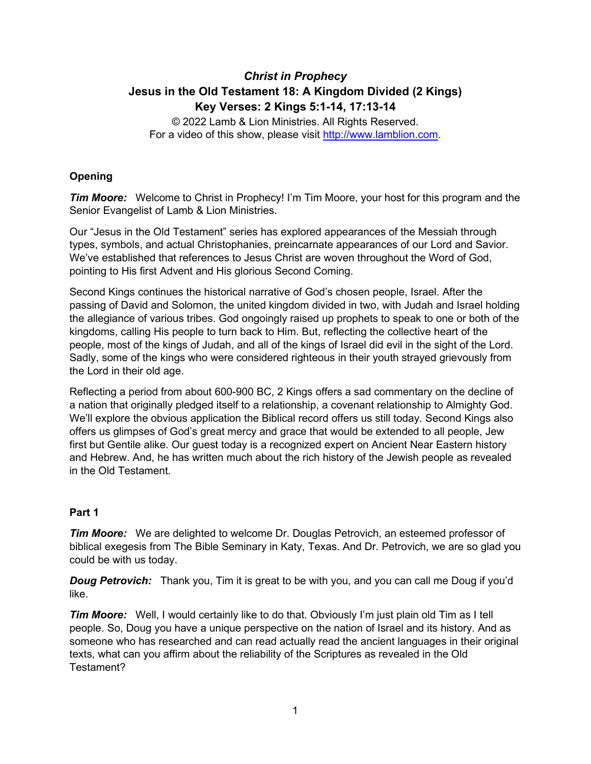# *Christ in Prophecy* **Jesus in the Old Testament 18: A Kingdom Divided (2 Kings) Key Verses: 2 Kings 5:1-14, 17:13-14**

© 2022 Lamb & Lion Ministries. All Rights Reserved. For a video of this show, please visit [http://www.lamblion.com.](http://www.lamblion.com/)

## **Opening**

*Tim Moore:* Welcome to Christ in Prophecy! I'm Tim Moore, your host for this program and the Senior Evangelist of Lamb & Lion Ministries.

Our "Jesus in the Old Testament" series has explored appearances of the Messiah through types, symbols, and actual Christophanies, preincarnate appearances of our Lord and Savior. We've established that references to Jesus Christ are woven throughout the Word of God, pointing to His first Advent and His glorious Second Coming.

Second Kings continues the historical narrative of God's chosen people, Israel. After the passing of David and Solomon, the united kingdom divided in two, with Judah and Israel holding the allegiance of various tribes. God ongoingly raised up prophets to speak to one or both of the kingdoms, calling His people to turn back to Him. But, reflecting the collective heart of the people, most of the kings of Judah, and all of the kings of Israel did evil in the sight of the Lord. Sadly, some of the kings who were considered righteous in their youth strayed grievously from the Lord in their old age.

Reflecting a period from about 600-900 BC, 2 Kings offers a sad commentary on the decline of a nation that originally pledged itself to a relationship, a covenant relationship to Almighty God. We'll explore the obvious application the Biblical record offers us still today. Second Kings also offers us glimpses of God's great mercy and grace that would be extended to all people, Jew first but Gentile alike. Our guest today is a recognized expert on Ancient Near Eastern history and Hebrew. And, he has written much about the rich history of the Jewish people as revealed in the Old Testament.

## **Part 1**

*Tim Moore:* We are delighted to welcome Dr. Douglas Petrovich, an esteemed professor of biblical exegesis from The Bible Seminary in Katy, Texas. And Dr. Petrovich, we are so glad you could be with us today.

*Doug Petrovich:* Thank you, Tim it is great to be with you, and you can call me Doug if you'd like.

**Tim Moore:** Well, I would certainly like to do that. Obviously I'm just plain old Tim as I tell people. So, Doug you have a unique perspective on the nation of Israel and its history. And as someone who has researched and can read actually read the ancient languages in their original texts, what can you affirm about the reliability of the Scriptures as revealed in the Old Testament?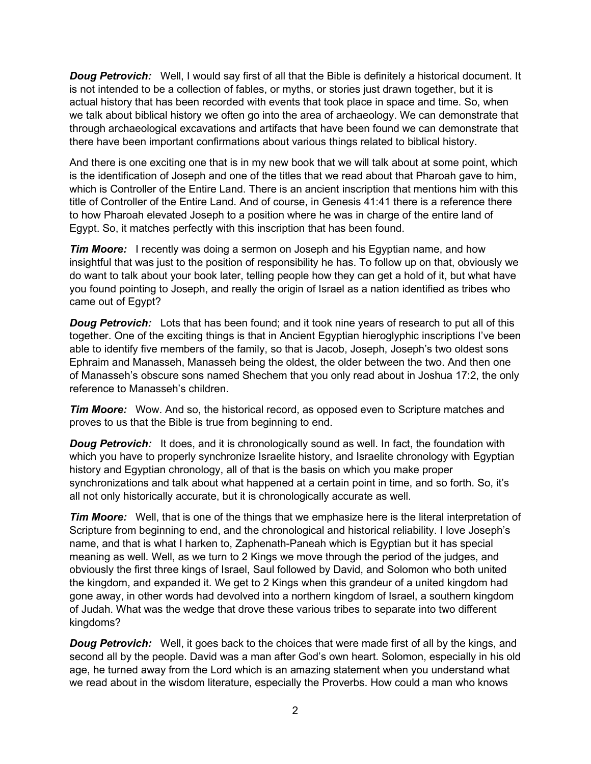*Doug Petrovich:* Well, I would say first of all that the Bible is definitely a historical document. It is not intended to be a collection of fables, or myths, or stories just drawn together, but it is actual history that has been recorded with events that took place in space and time. So, when we talk about biblical history we often go into the area of archaeology. We can demonstrate that through archaeological excavations and artifacts that have been found we can demonstrate that there have been important confirmations about various things related to biblical history.

And there is one exciting one that is in my new book that we will talk about at some point, which is the identification of Joseph and one of the titles that we read about that Pharoah gave to him, which is Controller of the Entire Land. There is an ancient inscription that mentions him with this title of Controller of the Entire Land. And of course, in Genesis 41:41 there is a reference there to how Pharoah elevated Joseph to a position where he was in charge of the entire land of Egypt. So, it matches perfectly with this inscription that has been found.

*Tim Moore:* I recently was doing a sermon on Joseph and his Egyptian name, and how insightful that was just to the position of responsibility he has. To follow up on that, obviously we do want to talk about your book later, telling people how they can get a hold of it, but what have you found pointing to Joseph, and really the origin of Israel as a nation identified as tribes who came out of Egypt?

**Doug Petrovich:** Lots that has been found; and it took nine years of research to put all of this together. One of the exciting things is that in Ancient Egyptian hieroglyphic inscriptions I've been able to identify five members of the family, so that is Jacob, Joseph, Joseph's two oldest sons Ephraim and Manasseh, Manasseh being the oldest, the older between the two. And then one of Manasseh's obscure sons named Shechem that you only read about in Joshua 17:2, the only reference to Manasseh's children.

*Tim Moore:* Wow. And so, the historical record, as opposed even to Scripture matches and proves to us that the Bible is true from beginning to end.

**Doug Petrovich:** It does, and it is chronologically sound as well. In fact, the foundation with which you have to properly synchronize Israelite history, and Israelite chronology with Egyptian history and Egyptian chronology, all of that is the basis on which you make proper synchronizations and talk about what happened at a certain point in time, and so forth. So, it's all not only historically accurate, but it is chronologically accurate as well.

*Tim Moore:* Well, that is one of the things that we emphasize here is the literal interpretation of Scripture from beginning to end, and the chronological and historical reliability. I love Joseph's name, and that is what I harken to, Zaphenath-Paneah which is Egyptian but it has special meaning as well. Well, as we turn to 2 Kings we move through the period of the judges, and obviously the first three kings of Israel, Saul followed by David, and Solomon who both united the kingdom, and expanded it. We get to 2 Kings when this grandeur of a united kingdom had gone away, in other words had devolved into a northern kingdom of Israel, a southern kingdom of Judah. What was the wedge that drove these various tribes to separate into two different kingdoms?

**Doug Petrovich:** Well, it goes back to the choices that were made first of all by the kings, and second all by the people. David was a man after God's own heart. Solomon, especially in his old age, he turned away from the Lord which is an amazing statement when you understand what we read about in the wisdom literature, especially the Proverbs. How could a man who knows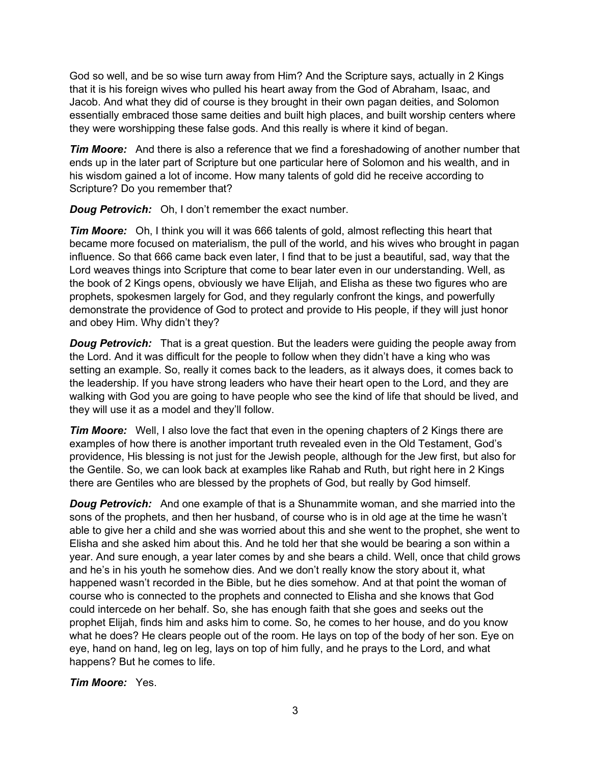God so well, and be so wise turn away from Him? And the Scripture says, actually in 2 Kings that it is his foreign wives who pulled his heart away from the God of Abraham, Isaac, and Jacob. And what they did of course is they brought in their own pagan deities, and Solomon essentially embraced those same deities and built high places, and built worship centers where they were worshipping these false gods. And this really is where it kind of began.

*Tim Moore:* And there is also a reference that we find a foreshadowing of another number that ends up in the later part of Scripture but one particular here of Solomon and his wealth, and in his wisdom gained a lot of income. How many talents of gold did he receive according to Scripture? Do you remember that?

*Doug Petrovich:* Oh, I don't remember the exact number.

*Tim Moore:* Oh, I think you will it was 666 talents of gold, almost reflecting this heart that became more focused on materialism, the pull of the world, and his wives who brought in pagan influence. So that 666 came back even later, I find that to be just a beautiful, sad, way that the Lord weaves things into Scripture that come to bear later even in our understanding. Well, as the book of 2 Kings opens, obviously we have Elijah, and Elisha as these two figures who are prophets, spokesmen largely for God, and they regularly confront the kings, and powerfully demonstrate the providence of God to protect and provide to His people, if they will just honor and obey Him. Why didn't they?

*Doug Petrovich:* That is a great question. But the leaders were guiding the people away from the Lord. And it was difficult for the people to follow when they didn't have a king who was setting an example. So, really it comes back to the leaders, as it always does, it comes back to the leadership. If you have strong leaders who have their heart open to the Lord, and they are walking with God you are going to have people who see the kind of life that should be lived, and they will use it as a model and they'll follow.

*Tim Moore:* Well, I also love the fact that even in the opening chapters of 2 Kings there are examples of how there is another important truth revealed even in the Old Testament, God's providence, His blessing is not just for the Jewish people, although for the Jew first, but also for the Gentile. So, we can look back at examples like Rahab and Ruth, but right here in 2 Kings there are Gentiles who are blessed by the prophets of God, but really by God himself.

*Doug Petrovich:* And one example of that is a Shunammite woman, and she married into the sons of the prophets, and then her husband, of course who is in old age at the time he wasn't able to give her a child and she was worried about this and she went to the prophet, she went to Elisha and she asked him about this. And he told her that she would be bearing a son within a year. And sure enough, a year later comes by and she bears a child. Well, once that child grows and he's in his youth he somehow dies. And we don't really know the story about it, what happened wasn't recorded in the Bible, but he dies somehow. And at that point the woman of course who is connected to the prophets and connected to Elisha and she knows that God could intercede on her behalf. So, she has enough faith that she goes and seeks out the prophet Elijah, finds him and asks him to come. So, he comes to her house, and do you know what he does? He clears people out of the room. He lays on top of the body of her son. Eye on eye, hand on hand, leg on leg, lays on top of him fully, and he prays to the Lord, and what happens? But he comes to life.

*Tim Moore:* Yes.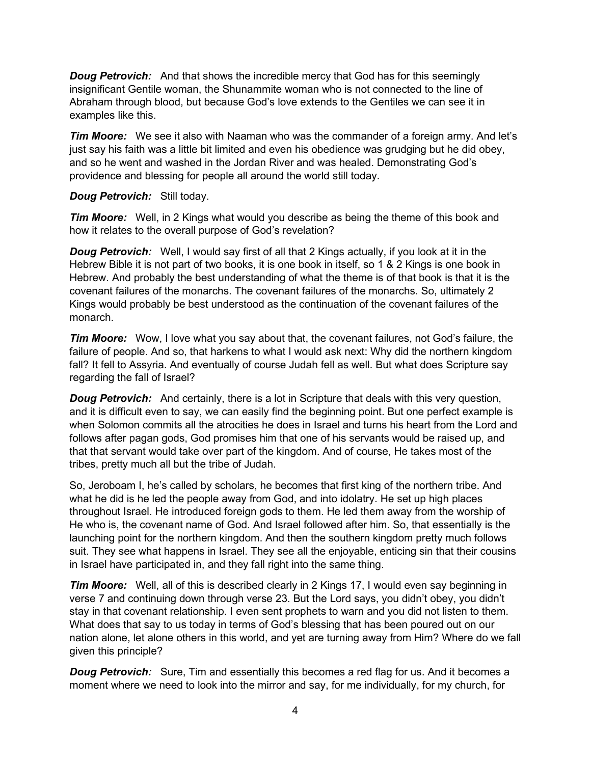*Doug Petrovich:* And that shows the incredible mercy that God has for this seemingly insignificant Gentile woman, the Shunammite woman who is not connected to the line of Abraham through blood, but because God's love extends to the Gentiles we can see it in examples like this.

*Tim Moore:* We see it also with Naaman who was the commander of a foreign army. And let's just say his faith was a little bit limited and even his obedience was grudging but he did obey, and so he went and washed in the Jordan River and was healed. Demonstrating God's providence and blessing for people all around the world still today.

#### *Doug Petrovich:* Still today.

**Tim Moore:** Well, in 2 Kings what would you describe as being the theme of this book and how it relates to the overall purpose of God's revelation?

*Doug Petrovich:* Well, I would say first of all that 2 Kings actually, if you look at it in the Hebrew Bible it is not part of two books, it is one book in itself, so 1 & 2 Kings is one book in Hebrew. And probably the best understanding of what the theme is of that book is that it is the covenant failures of the monarchs. The covenant failures of the monarchs. So, ultimately 2 Kings would probably be best understood as the continuation of the covenant failures of the monarch.

*Tim Moore:* Wow, I love what you say about that, the covenant failures, not God's failure, the failure of people. And so, that harkens to what I would ask next: Why did the northern kingdom fall? It fell to Assyria. And eventually of course Judah fell as well. But what does Scripture say regarding the fall of Israel?

*Doug Petrovich:* And certainly, there is a lot in Scripture that deals with this very question, and it is difficult even to say, we can easily find the beginning point. But one perfect example is when Solomon commits all the atrocities he does in Israel and turns his heart from the Lord and follows after pagan gods, God promises him that one of his servants would be raised up, and that that servant would take over part of the kingdom. And of course, He takes most of the tribes, pretty much all but the tribe of Judah.

So, Jeroboam I, he's called by scholars, he becomes that first king of the northern tribe. And what he did is he led the people away from God, and into idolatry. He set up high places throughout Israel. He introduced foreign gods to them. He led them away from the worship of He who is, the covenant name of God. And Israel followed after him. So, that essentially is the launching point for the northern kingdom. And then the southern kingdom pretty much follows suit. They see what happens in Israel. They see all the enjoyable, enticing sin that their cousins in Israel have participated in, and they fall right into the same thing.

*Tim Moore:* Well, all of this is described clearly in 2 Kings 17, I would even say beginning in verse 7 and continuing down through verse 23. But the Lord says, you didn't obey, you didn't stay in that covenant relationship. I even sent prophets to warn and you did not listen to them. What does that say to us today in terms of God's blessing that has been poured out on our nation alone, let alone others in this world, and yet are turning away from Him? Where do we fall given this principle?

**Doug Petrovich:** Sure, Tim and essentially this becomes a red flag for us. And it becomes a moment where we need to look into the mirror and say, for me individually, for my church, for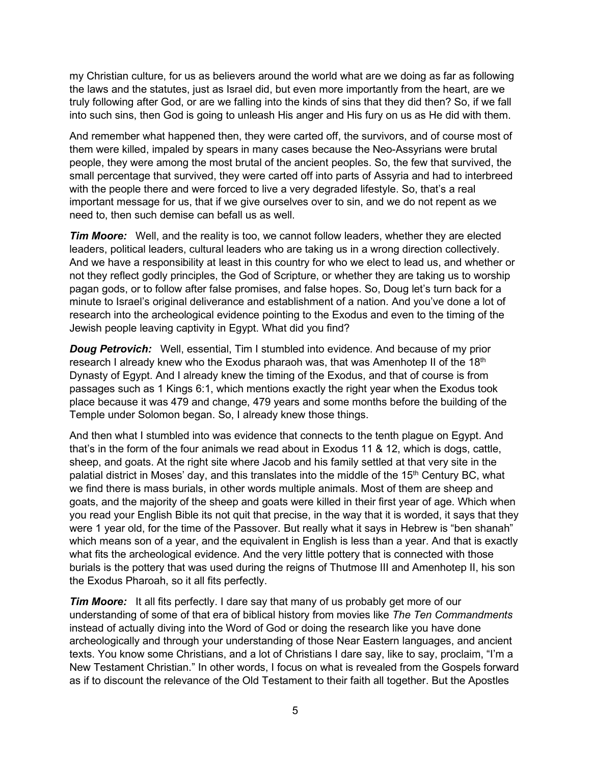my Christian culture, for us as believers around the world what are we doing as far as following the laws and the statutes, just as Israel did, but even more importantly from the heart, are we truly following after God, or are we falling into the kinds of sins that they did then? So, if we fall into such sins, then God is going to unleash His anger and His fury on us as He did with them.

And remember what happened then, they were carted off, the survivors, and of course most of them were killed, impaled by spears in many cases because the Neo-Assyrians were brutal people, they were among the most brutal of the ancient peoples. So, the few that survived, the small percentage that survived, they were carted off into parts of Assyria and had to interbreed with the people there and were forced to live a very degraded lifestyle. So, that's a real important message for us, that if we give ourselves over to sin, and we do not repent as we need to, then such demise can befall us as well.

*Tim Moore:* Well, and the reality is too, we cannot follow leaders, whether they are elected leaders, political leaders, cultural leaders who are taking us in a wrong direction collectively. And we have a responsibility at least in this country for who we elect to lead us, and whether or not they reflect godly principles, the God of Scripture, or whether they are taking us to worship pagan gods, or to follow after false promises, and false hopes. So, Doug let's turn back for a minute to Israel's original deliverance and establishment of a nation. And you've done a lot of research into the archeological evidence pointing to the Exodus and even to the timing of the Jewish people leaving captivity in Egypt. What did you find?

*Doug Petrovich:* Well, essential, Tim I stumbled into evidence. And because of my prior research I already knew who the Exodus pharaoh was, that was Amenhotep II of the 18<sup>th</sup> Dynasty of Egypt. And I already knew the timing of the Exodus, and that of course is from passages such as 1 Kings 6:1, which mentions exactly the right year when the Exodus took place because it was 479 and change, 479 years and some months before the building of the Temple under Solomon began. So, I already knew those things.

And then what I stumbled into was evidence that connects to the tenth plague on Egypt. And that's in the form of the four animals we read about in Exodus 11 & 12, which is dogs, cattle, sheep, and goats. At the right site where Jacob and his family settled at that very site in the palatial district in Moses' day, and this translates into the middle of the 15<sup>th</sup> Century BC, what we find there is mass burials, in other words multiple animals. Most of them are sheep and goats, and the majority of the sheep and goats were killed in their first year of age. Which when you read your English Bible its not quit that precise, in the way that it is worded, it says that they were 1 year old, for the time of the Passover. But really what it says in Hebrew is "ben shanah" which means son of a year, and the equivalent in English is less than a year. And that is exactly what fits the archeological evidence. And the very little pottery that is connected with those burials is the pottery that was used during the reigns of Thutmose III and Amenhotep II, his son the Exodus Pharoah, so it all fits perfectly.

*Tim Moore:* It all fits perfectly. I dare say that many of us probably get more of our understanding of some of that era of biblical history from movies like *The Ten Commandments* instead of actually diving into the Word of God or doing the research like you have done archeologically and through your understanding of those Near Eastern languages, and ancient texts. You know some Christians, and a lot of Christians I dare say, like to say, proclaim, "I'm a New Testament Christian." In other words, I focus on what is revealed from the Gospels forward as if to discount the relevance of the Old Testament to their faith all together. But the Apostles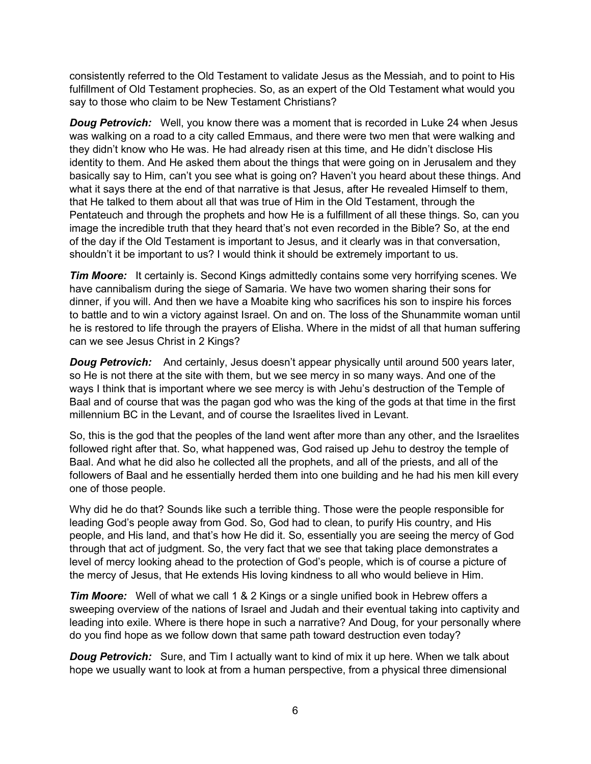consistently referred to the Old Testament to validate Jesus as the Messiah, and to point to His fulfillment of Old Testament prophecies. So, as an expert of the Old Testament what would you say to those who claim to be New Testament Christians?

*Doug Petrovich:* Well, you know there was a moment that is recorded in Luke 24 when Jesus was walking on a road to a city called Emmaus, and there were two men that were walking and they didn't know who He was. He had already risen at this time, and He didn't disclose His identity to them. And He asked them about the things that were going on in Jerusalem and they basically say to Him, can't you see what is going on? Haven't you heard about these things. And what it says there at the end of that narrative is that Jesus, after He revealed Himself to them, that He talked to them about all that was true of Him in the Old Testament, through the Pentateuch and through the prophets and how He is a fulfillment of all these things. So, can you image the incredible truth that they heard that's not even recorded in the Bible? So, at the end of the day if the Old Testament is important to Jesus, and it clearly was in that conversation, shouldn't it be important to us? I would think it should be extremely important to us.

*Tim Moore:* It certainly is. Second Kings admittedly contains some very horrifying scenes. We have cannibalism during the siege of Samaria. We have two women sharing their sons for dinner, if you will. And then we have a Moabite king who sacrifices his son to inspire his forces to battle and to win a victory against Israel. On and on. The loss of the Shunammite woman until he is restored to life through the prayers of Elisha. Where in the midst of all that human suffering can we see Jesus Christ in 2 Kings?

*Doug Petrovich:* And certainly, Jesus doesn't appear physically until around 500 years later, so He is not there at the site with them, but we see mercy in so many ways. And one of the ways I think that is important where we see mercy is with Jehu's destruction of the Temple of Baal and of course that was the pagan god who was the king of the gods at that time in the first millennium BC in the Levant, and of course the Israelites lived in Levant.

So, this is the god that the peoples of the land went after more than any other, and the Israelites followed right after that. So, what happened was, God raised up Jehu to destroy the temple of Baal. And what he did also he collected all the prophets, and all of the priests, and all of the followers of Baal and he essentially herded them into one building and he had his men kill every one of those people.

Why did he do that? Sounds like such a terrible thing. Those were the people responsible for leading God's people away from God. So, God had to clean, to purify His country, and His people, and His land, and that's how He did it. So, essentially you are seeing the mercy of God through that act of judgment. So, the very fact that we see that taking place demonstrates a level of mercy looking ahead to the protection of God's people, which is of course a picture of the mercy of Jesus, that He extends His loving kindness to all who would believe in Him.

*Tim Moore:* Well of what we call 1 & 2 Kings or a single unified book in Hebrew offers a sweeping overview of the nations of Israel and Judah and their eventual taking into captivity and leading into exile. Where is there hope in such a narrative? And Doug, for your personally where do you find hope as we follow down that same path toward destruction even today?

**Doug Petrovich:** Sure, and Tim I actually want to kind of mix it up here. When we talk about hope we usually want to look at from a human perspective, from a physical three dimensional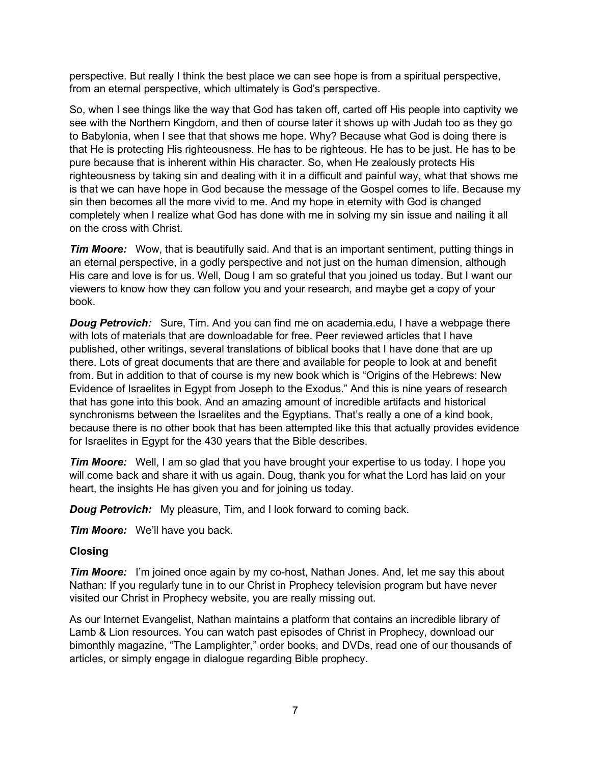perspective. But really I think the best place we can see hope is from a spiritual perspective, from an eternal perspective, which ultimately is God's perspective.

So, when I see things like the way that God has taken off, carted off His people into captivity we see with the Northern Kingdom, and then of course later it shows up with Judah too as they go to Babylonia, when I see that that shows me hope. Why? Because what God is doing there is that He is protecting His righteousness. He has to be righteous. He has to be just. He has to be pure because that is inherent within His character. So, when He zealously protects His righteousness by taking sin and dealing with it in a difficult and painful way, what that shows me is that we can have hope in God because the message of the Gospel comes to life. Because my sin then becomes all the more vivid to me. And my hope in eternity with God is changed completely when I realize what God has done with me in solving my sin issue and nailing it all on the cross with Christ.

**Tim Moore:** Wow, that is beautifully said. And that is an important sentiment, putting things in an eternal perspective, in a godly perspective and not just on the human dimension, although His care and love is for us. Well, Doug I am so grateful that you joined us today. But I want our viewers to know how they can follow you and your research, and maybe get a copy of your book.

*Doug Petrovich:* Sure, Tim. And you can find me on academia.edu, I have a webpage there with lots of materials that are downloadable for free. Peer reviewed articles that I have published, other writings, several translations of biblical books that I have done that are up there. Lots of great documents that are there and available for people to look at and benefit from. But in addition to that of course is my new book which is "Origins of the Hebrews: New Evidence of Israelites in Egypt from Joseph to the Exodus." And this is nine years of research that has gone into this book. And an amazing amount of incredible artifacts and historical synchronisms between the Israelites and the Egyptians. That's really a one of a kind book, because there is no other book that has been attempted like this that actually provides evidence for Israelites in Egypt for the 430 years that the Bible describes.

*Tim Moore:* Well, I am so glad that you have brought your expertise to us today. I hope you will come back and share it with us again. Doug, thank you for what the Lord has laid on your heart, the insights He has given you and for joining us today.

*Doug Petrovich:* My pleasure, Tim, and I look forward to coming back.

*Tim Moore:* We'll have you back.

#### **Closing**

*Tim Moore:* I'm joined once again by my co-host, Nathan Jones. And, let me say this about Nathan: If you regularly tune in to our Christ in Prophecy television program but have never visited our Christ in Prophecy website, you are really missing out.

As our Internet Evangelist, Nathan maintains a platform that contains an incredible library of Lamb & Lion resources. You can watch past episodes of Christ in Prophecy, download our bimonthly magazine, "The Lamplighter," order books, and DVDs, read one of our thousands of articles, or simply engage in dialogue regarding Bible prophecy.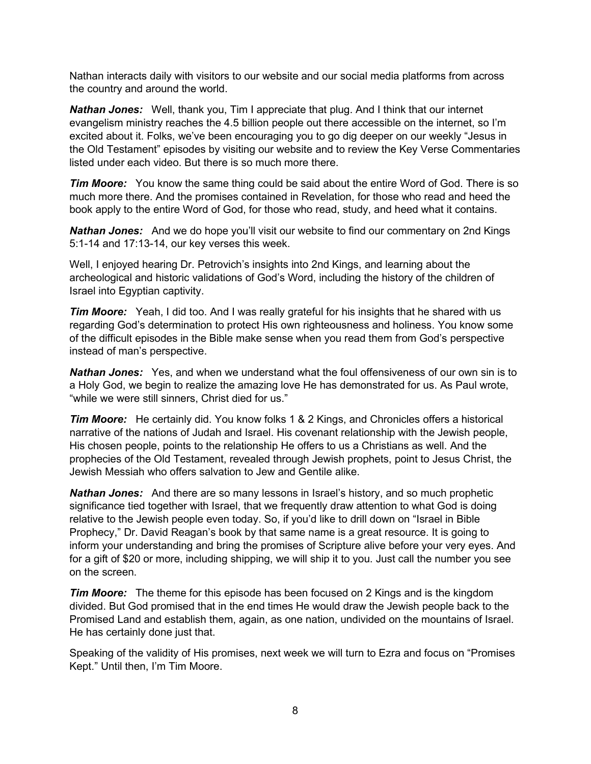Nathan interacts daily with visitors to our website and our social media platforms from across the country and around the world.

*Nathan Jones:* Well, thank you, Tim I appreciate that plug. And I think that our internet evangelism ministry reaches the 4.5 billion people out there accessible on the internet, so I'm excited about it. Folks, we've been encouraging you to go dig deeper on our weekly "Jesus in the Old Testament" episodes by visiting our website and to review the Key Verse Commentaries listed under each video. But there is so much more there.

*Tim Moore:* You know the same thing could be said about the entire Word of God. There is so much more there. And the promises contained in Revelation, for those who read and heed the book apply to the entire Word of God, for those who read, study, and heed what it contains.

*Nathan Jones:* And we do hope you'll visit our website to find our commentary on 2nd Kings 5:1-14 and 17:13-14, our key verses this week.

Well, I enjoyed hearing Dr. Petrovich's insights into 2nd Kings, and learning about the archeological and historic validations of God's Word, including the history of the children of Israel into Egyptian captivity.

*Tim Moore:* Yeah, I did too. And I was really grateful for his insights that he shared with us regarding God's determination to protect His own righteousness and holiness. You know some of the difficult episodes in the Bible make sense when you read them from God's perspective instead of man's perspective.

*Nathan Jones:* Yes, and when we understand what the foul offensiveness of our own sin is to a Holy God, we begin to realize the amazing love He has demonstrated for us. As Paul wrote, "while we were still sinners, Christ died for us."

*Tim Moore:* He certainly did. You know folks 1 & 2 Kings, and Chronicles offers a historical narrative of the nations of Judah and Israel. His covenant relationship with the Jewish people, His chosen people, points to the relationship He offers to us a Christians as well. And the prophecies of the Old Testament, revealed through Jewish prophets, point to Jesus Christ, the Jewish Messiah who offers salvation to Jew and Gentile alike.

*Nathan Jones:* And there are so many lessons in Israel's history, and so much prophetic significance tied together with Israel, that we frequently draw attention to what God is doing relative to the Jewish people even today. So, if you'd like to drill down on "Israel in Bible Prophecy," Dr. David Reagan's book by that same name is a great resource. It is going to inform your understanding and bring the promises of Scripture alive before your very eyes. And for a gift of \$20 or more, including shipping, we will ship it to you. Just call the number you see on the screen.

*Tim Moore:* The theme for this episode has been focused on 2 Kings and is the kingdom divided. But God promised that in the end times He would draw the Jewish people back to the Promised Land and establish them, again, as one nation, undivided on the mountains of Israel. He has certainly done just that.

Speaking of the validity of His promises, next week we will turn to Ezra and focus on "Promises Kept." Until then, I'm Tim Moore.